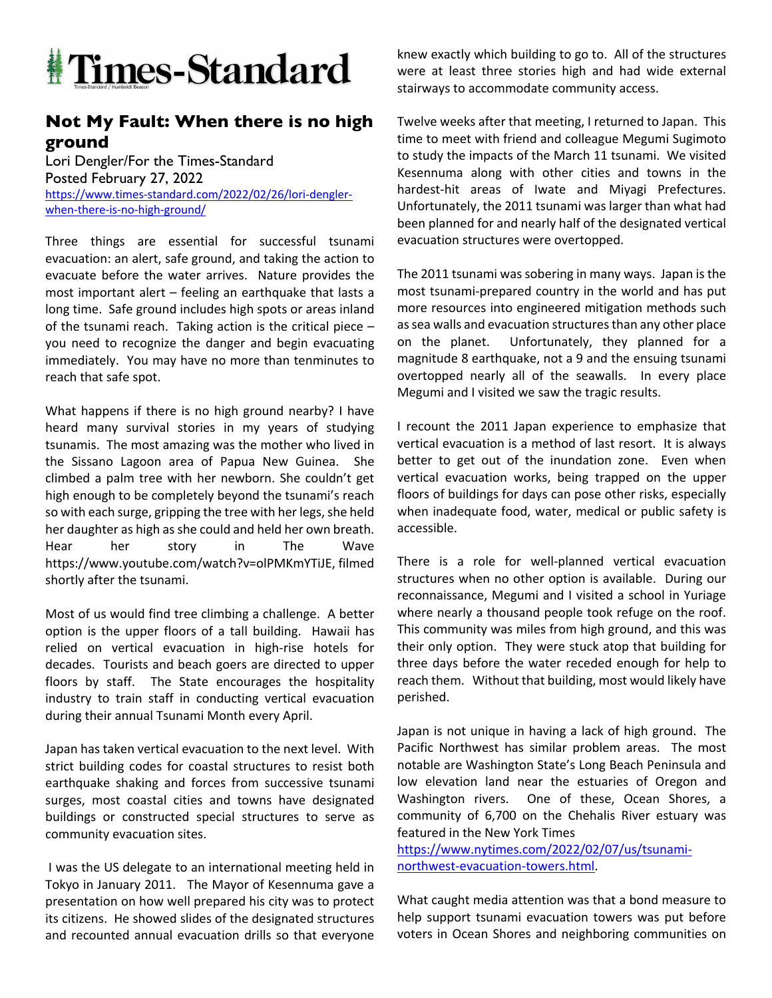

## **Not My Fault: When there is no high ground**

Lori Dengler/For the Times-Standard Posted February 27, 2022 https://www.times-standard.com/2022/02/26/lori-denglerwhen-there-is-no-high-ground/

Three things are essential for successful tsunami evacuation: an alert, safe ground, and taking the action to evacuate before the water arrives. Nature provides the most important alert – feeling an earthquake that lasts a long time. Safe ground includes high spots or areas inland of the tsunami reach. Taking action is the critical piece – you need to recognize the danger and begin evacuating immediately. You may have no more than tenminutes to reach that safe spot.

What happens if there is no high ground nearby? I have heard many survival stories in my years of studying tsunamis. The most amazing was the mother who lived in the Sissano Lagoon area of Papua New Guinea. She climbed a palm tree with her newborn. She couldn't get high enough to be completely beyond the tsunami's reach so with each surge, gripping the tree with her legs, she held her daughter as high as she could and held her own breath. Hear her story in The Wave https://www.youtube.com/watch?v=olPMKmYTiJE, filmed shortly after the tsunami.

Most of us would find tree climbing a challenge. A better option is the upper floors of a tall building. Hawaii has relied on vertical evacuation in high-rise hotels for decades. Tourists and beach goers are directed to upper floors by staff. The State encourages the hospitality industry to train staff in conducting vertical evacuation during their annual Tsunami Month every April.

Japan has taken vertical evacuation to the next level. With strict building codes for coastal structures to resist both earthquake shaking and forces from successive tsunami surges, most coastal cities and towns have designated buildings or constructed special structures to serve as community evacuation sites.

I was the US delegate to an international meeting held in Tokyo in January 2011. The Mayor of Kesennuma gave a presentation on how well prepared his city was to protect its citizens. He showed slides of the designated structures and recounted annual evacuation drills so that everyone knew exactly which building to go to. All of the structures were at least three stories high and had wide external stairways to accommodate community access.

Twelve weeks after that meeting, I returned to Japan. This time to meet with friend and colleague Megumi Sugimoto to study the impacts of the March 11 tsunami. We visited Kesennuma along with other cities and towns in the hardest-hit areas of Iwate and Miyagi Prefectures. Unfortunately, the 2011 tsunami was larger than what had been planned for and nearly half of the designated vertical evacuation structures were overtopped.

The 2011 tsunami was sobering in many ways. Japan is the most tsunami-prepared country in the world and has put more resources into engineered mitigation methods such as sea walls and evacuation structures than any other place on the planet. Unfortunately, they planned for a magnitude 8 earthquake, not a 9 and the ensuing tsunami overtopped nearly all of the seawalls. In every place Megumi and I visited we saw the tragic results.

I recount the 2011 Japan experience to emphasize that vertical evacuation is a method of last resort. It is always better to get out of the inundation zone. Even when vertical evacuation works, being trapped on the upper floors of buildings for days can pose other risks, especially when inadequate food, water, medical or public safety is accessible.

There is a role for well-planned vertical evacuation structures when no other option is available. During our reconnaissance, Megumi and I visited a school in Yuriage where nearly a thousand people took refuge on the roof. This community was miles from high ground, and this was their only option. They were stuck atop that building for three days before the water receded enough for help to reach them. Without that building, most would likely have perished.

Japan is not unique in having a lack of high ground. The Pacific Northwest has similar problem areas. The most notable are Washington State's Long Beach Peninsula and low elevation land near the estuaries of Oregon and Washington rivers. One of these, Ocean Shores, a community of 6,700 on the Chehalis River estuary was featured in the New York Times

https://www.nytimes.com/2022/02/07/us/tsunaminorthwest-evacuation-towers.html.

What caught media attention was that a bond measure to help support tsunami evacuation towers was put before voters in Ocean Shores and neighboring communities on